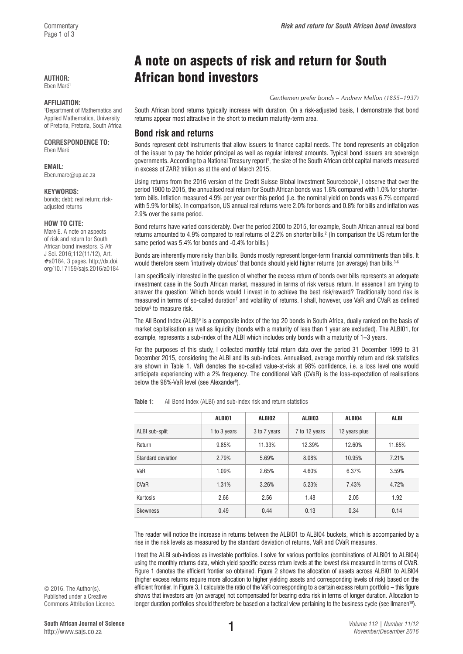Eben Maré<sup>1</sup>

### **AFFILIATION:**

1 Department of Mathematics and Applied Mathematics, University of Pretoria, Pretoria, South Africa

# **CORRESPONDENCE TO:**

Eben Maré

## **EMAIL:**

[Eben.mare@up.ac.za](mailto:Eben.mare@up.ac.za)

#### **KEYWORDS:**

bonds; debt; real return; riskadjusted returns

### **HOW TO CITE:**

Maré E. A note on aspects of risk and return for South African bond investors. S Afr J Sci. 2016;112(11/12), Art. #a0184, 3 pages. [http://dx.doi.](http://dx.doi.org/10.17159/sajs.2016/a0184) [org/10.17159/sajs.2016/a0184](http://dx.doi.org/10.17159/sajs.2016/a0184)

# A note on aspects of risk and return for South AUTHOR: **African bond investors**

*Gentlemen prefer bonds – Andrew Mellon (1855–1937)*

South African bond returns typically increase with duration. On a risk-adjusted basis, I demonstrate that bond returns appear most attractive in the short to medium maturity-term area.

# **Bond risk and returns**

Bonds represent debt instruments that allow issuers to finance capital needs. The bond represents an obligation of the issuer to pay the holder principal as well as regular interest amounts. Typical bond issuers are sovereign governments. According to a National Treasury report<sup>1</sup>, the size of the South African debt capital markets measured in excess of ZAR2 trillion as at the end of March 2015.

Using returns from the 2016 version of the Credit Suisse Global Investment Sourcebook<sup>2</sup>, I observe that over the period 1900 to 2015, the annualised real return for South African bonds was 1.8% compared with 1.0% for shorterterm bills. Inflation measured 4.9% per year over this period (i.e. the nominal yield on bonds was 6.7% compared with 5.9% for bills). In comparison, US annual real returns were 2.0% for bonds and 0.8% for bills and inflation was 2.9% over the same period.

Bond returns have varied considerably. Over the period 2000 to 2015, for example, South African annual real bond returns amounted to 4.9% compared to real returns of 2.2% on shorter bills.<sup>2</sup> (In comparison the US return for the same period was 5.4% for bonds and -0.4% for bills.)

Bonds are inherently more risky than bills. Bonds mostly represent longer-term financial commitments than bills. It would therefore seem 'intuitively obvious' that bonds should yield higher returns (on average) than bills.<sup>3-6</sup>

I am specifically interested in the question of whether the excess return of bonds over bills represents an adequate investment case in the South African market, measured in terms of risk versus return. In essence I am trying to answer the question: Which bonds would I invest in to achieve the best risk/reward? Traditionally bond risk is measured in terms of so-called duration<sup>7</sup> and volatility of returns. I shall, however, use VaR and CVaR as defined below<sup>8</sup> to measure risk.

The All Bond Index (ALBI)<sup>9</sup> is a composite index of the top 20 bonds in South Africa, dually ranked on the basis of market capitalisation as well as liquidity (bonds with a maturity of less than 1 year are excluded). The ALBI01, for example, represents a sub-index of the ALBI which includes only bonds with a maturity of 1–3 years.

For the purposes of this study, I collected monthly total return data over the period 31 December 1999 to 31 December 2015, considering the ALBI and its sub-indices. Annualised, average monthly return and risk statistics are shown in Table 1. VaR denotes the so-called value-at-risk at 98% confidence, i.e. a loss level one would anticipate experiencing with a 2% frequency. The conditional VaR (CVaR) is the loss-expectation of realisations below the 98%-VaR level (see Alexander<sup>8</sup>).

**Table 1:** All Bond Index (ALBI) and sub-index risk and return statistics

|                    | ALBI01       | ALBI02       | ALBI03        | ALBI04        | <b>ALBI</b> |
|--------------------|--------------|--------------|---------------|---------------|-------------|
| ALBI sub-split     | 1 to 3 years | 3 to 7 years | 7 to 12 years | 12 years plus |             |
| Return             | 9.85%        | 11.33%       | 12.39%        | 12.60%        | 11.65%      |
| Standard deviation | 2.79%        | 5.69%        | 8.08%         | 10.95%        | 7.21%       |
| VaR                | 1.09%        | 2.65%        | 4.60%         | 6.37%         | 3.59%       |
| CVaR               | 1.31%        | 3.26%        | 5.23%         | 7.43%         | 4.72%       |
| Kurtosis           | 2.66         | 2.56         | 1.48          | 2.05          | 1.92        |
| <b>Skewness</b>    | 0.49         | 0.44         | 0.13          | 0.34          | 0.14        |

The reader will notice the increase in returns between the ALBI01 to ALBI04 buckets, which is accompanied by a rise in the risk levels as measured by the standard deviation of returns, VaR and CVaR measures.

I treat the ALBI sub-indices as investable portfolios. I solve for various portfolios (combinations of ALBI01 to ALBI04) using the monthly returns data, which yield specific excess return levels at the lowest risk measured in terms of CVaR. Figure 1 denotes the efficient frontier so obtained. Figure 2 shows the allocation of assets across ALBI01 to ALBI04 (higher excess returns require more allocation to higher yielding assets and corresponding levels of risk) based on the efficient frontier. In Figure 3, I calculate the ratio of the VaR corresponding to a certain excess return portfolio – this figure shows that investors are (on average) not compensated for bearing extra risk in terms of longer duration. Allocation to longer duration portfolios should therefore be based on a tactical view pertaining to the business cycle (see Ilmanen<sup>10</sup>).

© 2016. The Author(s). Published under a Creative Commons Attribution Licence.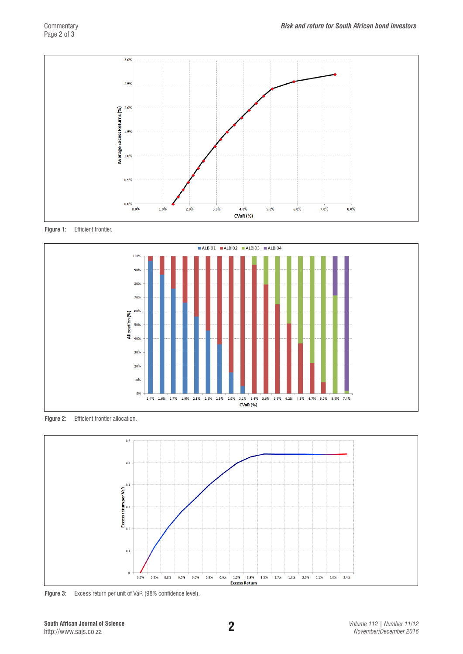

**Figure 1:** Efficient frontier.



Figure 2: Efficient frontier allocation.



**Figure 3:** Excess return per unit of VaR (98% confidence level).